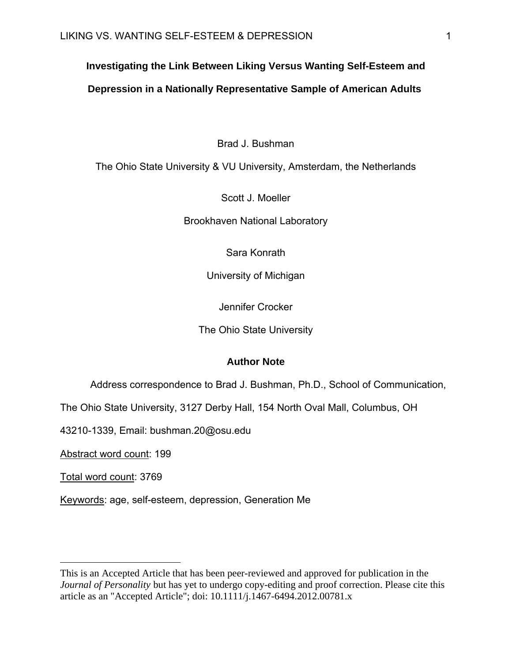# **Investigating the Link Between Liking Versus Wanting Self-Esteem and Depression in a Nationally Representative Sample of American Adults\***

Brad J. Bushman

The Ohio State University & VU University, Amsterdam, the Netherlands

Scott J. Moeller

Brookhaven National Laboratory

Sara Konrath

University of Michigan

Jennifer Crocker

The Ohio State University

## **Author Note**

Address correspondence to Brad J. Bushman, Ph.D., School of Communication,

The Ohio State University, 3127 Derby Hall, 154 North Oval Mall, Columbus, OH

43210-1339, Email: bushman.20@osu.edu

Abstract word count: 199

Total word count: 3769

1

Keywords: age, self-esteem, depression, Generation Me

This is an Accepted Article that has been peer-reviewed and approved for publication in the *Journal of Personality* but has yet to undergo copy-editing and proof correction. Please cite this article as an "Accepted Article"; doi: 10.1111/j.1467-6494.2012.00781.x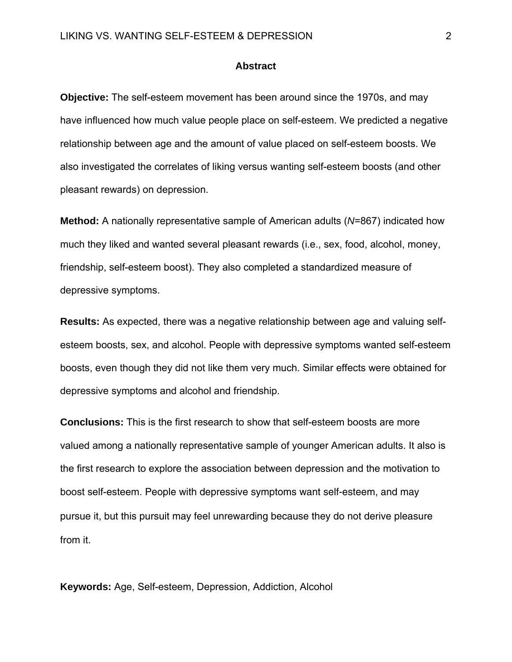#### **Abstract**

**Objective:** The self-esteem movement has been around since the 1970s, and may have influenced how much value people place on self-esteem. We predicted a negative relationship between age and the amount of value placed on self-esteem boosts. We also investigated the correlates of liking versus wanting self-esteem boosts (and other pleasant rewards) on depression.

**Method:** A nationally representative sample of American adults (*N*=867) indicated how much they liked and wanted several pleasant rewards (i.e., sex, food, alcohol, money, friendship, self-esteem boost). They also completed a standardized measure of depressive symptoms.

**Results:** As expected, there was a negative relationship between age and valuing selfesteem boosts, sex, and alcohol. People with depressive symptoms wanted self-esteem boosts, even though they did not like them very much. Similar effects were obtained for depressive symptoms and alcohol and friendship.

**Conclusions:** This is the first research to show that self-esteem boosts are more valued among a nationally representative sample of younger American adults. It also is the first research to explore the association between depression and the motivation to boost self-esteem. People with depressive symptoms want self-esteem, and may pursue it, but this pursuit may feel unrewarding because they do not derive pleasure from it.

**Keywords:** Age, Self-esteem, Depression, Addiction, Alcohol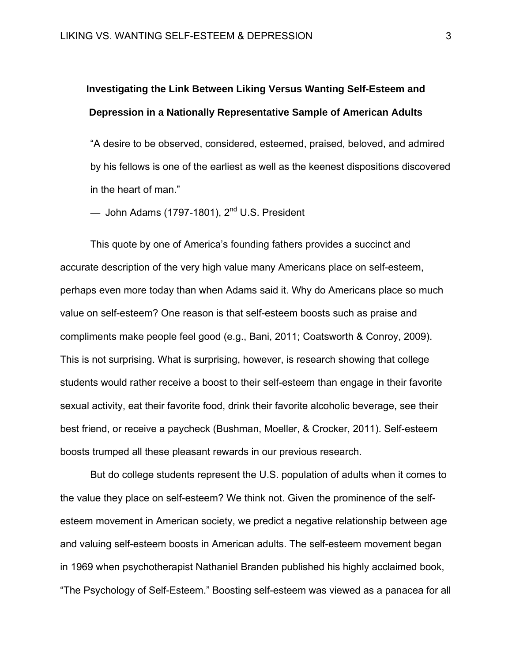# **Investigating the Link Between Liking Versus Wanting Self-Esteem and Depression in a Nationally Representative Sample of American Adults**

"A desire to be observed, considered, esteemed, praised, beloved, and admired by his fellows is one of the earliest as well as the keenest dispositions discovered in the heart of man."

— John Adams (1797-1801), 2<sup>nd</sup> U.S. President

This quote by one of America's founding fathers provides a succinct and accurate description of the very high value many Americans place on self-esteem, perhaps even more today than when Adams said it. Why do Americans place so much value on self-esteem? One reason is that self-esteem boosts such as praise and compliments make people feel good (e.g., Bani, 2011; Coatsworth & Conroy, 2009). This is not surprising. What is surprising, however, is research showing that college students would rather receive a boost to their self-esteem than engage in their favorite sexual activity, eat their favorite food, drink their favorite alcoholic beverage, see their best friend, or receive a paycheck (Bushman, Moeller, & Crocker, 2011). Self-esteem boosts trumped all these pleasant rewards in our previous research.

But do college students represent the U.S. population of adults when it comes to the value they place on self-esteem? We think not. Given the prominence of the selfesteem movement in American society, we predict a negative relationship between age and valuing self-esteem boosts in American adults. The self-esteem movement began in 1969 when psychotherapist Nathaniel Branden published his highly acclaimed book, "The Psychology of Self-Esteem." Boosting self-esteem was viewed as a panacea for all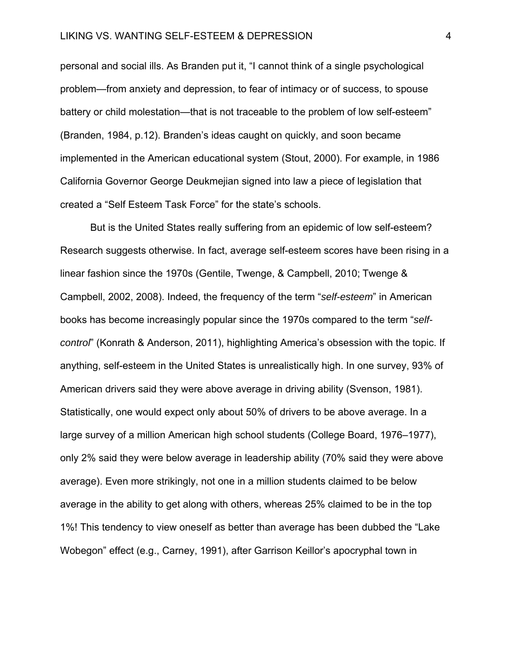#### LIKING VS. WANTING SELF-ESTEEM & DEPRESSION 4

personal and social ills. As Branden put it, "I cannot think of a single psychological problem—from anxiety and depression, to fear of intimacy or of success, to spouse battery or child molestation—that is not traceable to the problem of low self-esteem" (Branden, 1984, p.12). Branden's ideas caught on quickly, and soon became implemented in the American educational system (Stout, 2000). For example, in 1986 California Governor George Deukmejian signed into law a piece of legislation that created a "Self Esteem Task Force" for the state's schools.

But is the United States really suffering from an epidemic of low self-esteem? Research suggests otherwise. In fact, average self-esteem scores have been rising in a linear fashion since the 1970s (Gentile, Twenge, & Campbell, 2010; Twenge & Campbell, 2002, 2008). Indeed, the frequency of the term "*self-esteem*" in American books has become increasingly popular since the 1970s compared to the term "*selfcontrol*" (Konrath & Anderson, 2011), highlighting America's obsession with the topic. If anything, self-esteem in the United States is unrealistically high. In one survey, 93% of American drivers said they were above average in driving ability (Svenson, 1981). Statistically, one would expect only about 50% of drivers to be above average. In a large survey of a million American high school students (College Board, 1976–1977), only 2% said they were below average in leadership ability (70% said they were above average). Even more strikingly, not one in a million students claimed to be below average in the ability to get along with others, whereas 25% claimed to be in the top 1%! This tendency to view oneself as better than average has been dubbed the "Lake Wobegon" effect (e.g., Carney, 1991), after Garrison Keillor's apocryphal town in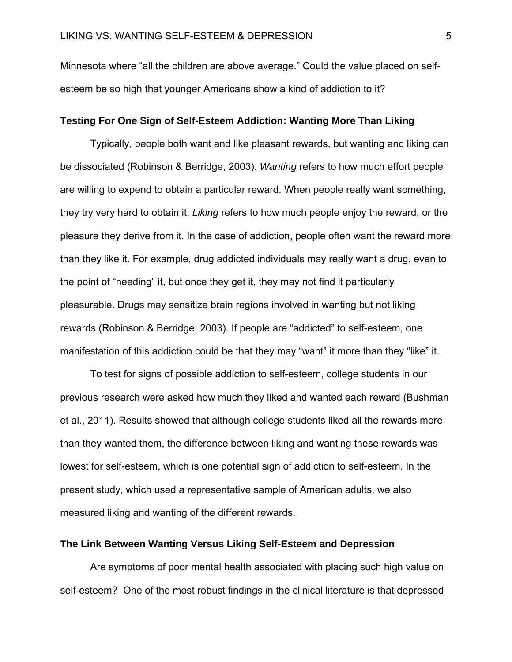Minnesota where "all the children are above average." Could the value placed on selfesteem be so high that younger Americans show a kind of addiction to it?

## **Testing For One Sign of Self-Esteem Addiction: Wanting More Than Liking**

Typically, people both want and like pleasant rewards, but wanting and liking can be dissociated (Robinson & Berridge, 2003). *Wanting* refers to how much effort people are willing to expend to obtain a particular reward. When people really want something, they try very hard to obtain it. *Liking* refers to how much people enjoy the reward, or the pleasure they derive from it. In the case of addiction, people often want the reward more than they like it. For example, drug addicted individuals may really want a drug, even to the point of "needing" it, but once they get it, they may not find it particularly pleasurable. Drugs may sensitize brain regions involved in wanting but not liking rewards (Robinson & Berridge, 2003). If people are "addicted" to self-esteem, one manifestation of this addiction could be that they may "want" it more than they "like" it.

To test for signs of possible addiction to self-esteem, college students in our previous research were asked how much they liked and wanted each reward (Bushman et al., 2011). Results showed that although college students liked all the rewards more than they wanted them, the difference between liking and wanting these rewards was lowest for self-esteem, which is one potential sign of addiction to self-esteem. In the present study, which used a representative sample of American adults, we also measured liking and wanting of the different rewards.

#### **The Link Between Wanting Versus Liking Self-Esteem and Depression**

 Are symptoms of poor mental health associated with placing such high value on self-esteem? One of the most robust findings in the clinical literature is that depressed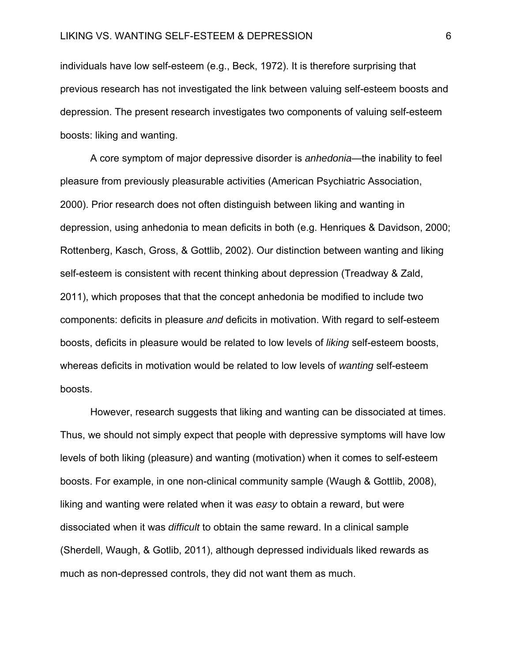individuals have low self-esteem (e.g., Beck, 1972). It is therefore surprising that previous research has not investigated the link between valuing self-esteem boosts and depression. The present research investigates two components of valuing self-esteem boosts: liking and wanting.

A core symptom of major depressive disorder is *anhedonia*—the inability to feel pleasure from previously pleasurable activities (American Psychiatric Association, 2000). Prior research does not often distinguish between liking and wanting in depression, using anhedonia to mean deficits in both (e.g. Henriques & Davidson, 2000; Rottenberg, Kasch, Gross, & Gottlib, 2002). Our distinction between wanting and liking self-esteem is consistent with recent thinking about depression (Treadway & Zald, 2011), which proposes that that the concept anhedonia be modified to include two components: deficits in pleasure *and* deficits in motivation. With regard to self-esteem boosts, deficits in pleasure would be related to low levels of *liking* self-esteem boosts, whereas deficits in motivation would be related to low levels of *wanting* self-esteem boosts.

However, research suggests that liking and wanting can be dissociated at times. Thus, we should not simply expect that people with depressive symptoms will have low levels of both liking (pleasure) and wanting (motivation) when it comes to self-esteem boosts. For example, in one non-clinical community sample (Waugh & Gottlib, 2008), liking and wanting were related when it was *easy* to obtain a reward, but were dissociated when it was *difficult* to obtain the same reward. In a clinical sample (Sherdell, Waugh, & Gotlib, 2011), although depressed individuals liked rewards as much as non-depressed controls, they did not want them as much.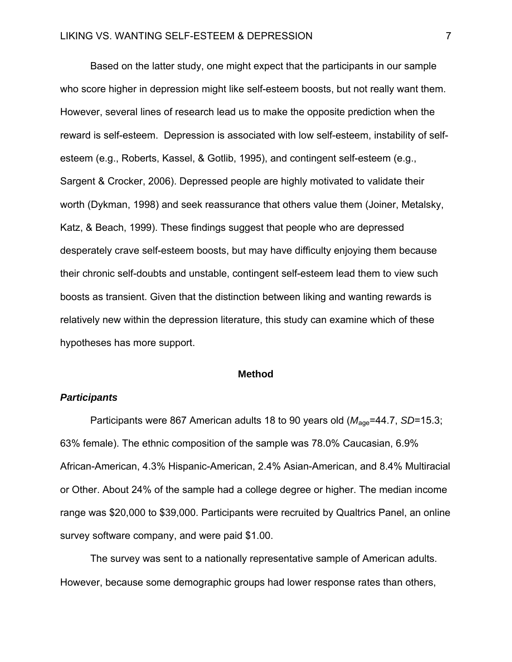Based on the latter study, one might expect that the participants in our sample who score higher in depression might like self-esteem boosts, but not really want them. However, several lines of research lead us to make the opposite prediction when the reward is self-esteem. Depression is associated with low self-esteem, instability of selfesteem (e.g., Roberts, Kassel, & Gotlib, 1995), and contingent self-esteem (e.g., Sargent & Crocker, 2006). Depressed people are highly motivated to validate their worth (Dykman, 1998) and seek reassurance that others value them (Joiner, Metalsky, Katz, & Beach, 1999). These findings suggest that people who are depressed desperately crave self-esteem boosts, but may have difficulty enjoying them because their chronic self-doubts and unstable, contingent self-esteem lead them to view such boosts as transient. Given that the distinction between liking and wanting rewards is relatively new within the depression literature, this study can examine which of these hypotheses has more support.

#### **Method**

#### *Participants*

Participants were 867 American adults 18 to 90 years old ( $M_{\text{age}}$ =44.7, *SD*=15.3; 63% female). The ethnic composition of the sample was 78.0% Caucasian, 6.9% African-American, 4.3% Hispanic-American, 2.4% Asian-American, and 8.4% Multiracial or Other. About 24% of the sample had a college degree or higher. The median income range was \$20,000 to \$39,000. Participants were recruited by Qualtrics Panel, an online survey software company, and were paid \$1.00.

The survey was sent to a nationally representative sample of American adults. However, because some demographic groups had lower response rates than others,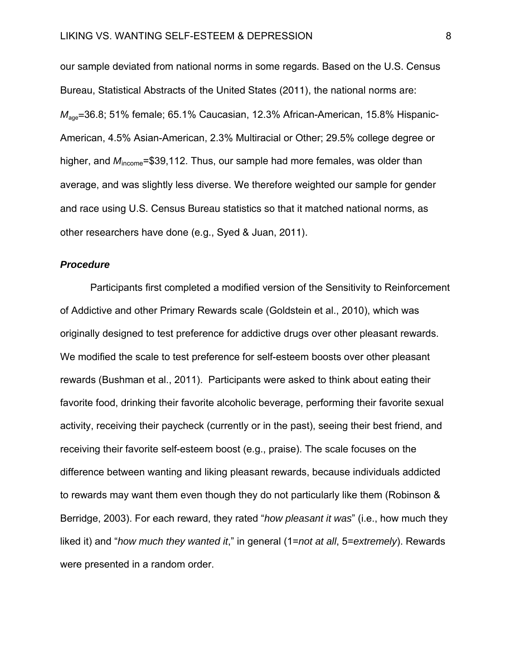our sample deviated from national norms in some regards. Based on the U.S. Census Bureau, Statistical Abstracts of the United States (2011), the national norms are: *M<sub>age</sub>*=36.8; 51% female; 65.1% Caucasian, 12.3% African-American, 15.8% Hispanic-American, 4.5% Asian-American, 2.3% Multiracial or Other; 29.5% college degree or higher, and  $M_{\text{income}}$ =\$39,112. Thus, our sample had more females, was older than average, and was slightly less diverse. We therefore weighted our sample for gender and race using U.S. Census Bureau statistics so that it matched national norms, as other researchers have done (e.g., Syed & Juan, 2011).

#### *Procedure*

Participants first completed a modified version of the Sensitivity to Reinforcement of Addictive and other Primary Rewards scale (Goldstein et al., 2010), which was originally designed to test preference for addictive drugs over other pleasant rewards. We modified the scale to test preference for self-esteem boosts over other pleasant rewards (Bushman et al., 2011). Participants were asked to think about eating their favorite food, drinking their favorite alcoholic beverage, performing their favorite sexual activity, receiving their paycheck (currently or in the past), seeing their best friend, and receiving their favorite self-esteem boost (e.g., praise). The scale focuses on the difference between wanting and liking pleasant rewards, because individuals addicted to rewards may want them even though they do not particularly like them (Robinson & Berridge, 2003). For each reward, they rated "*how pleasant it was*" (i.e., how much they liked it) and "*how much they wanted it*," in general (1=*not at all*, 5=*extremely*). Rewards were presented in a random order.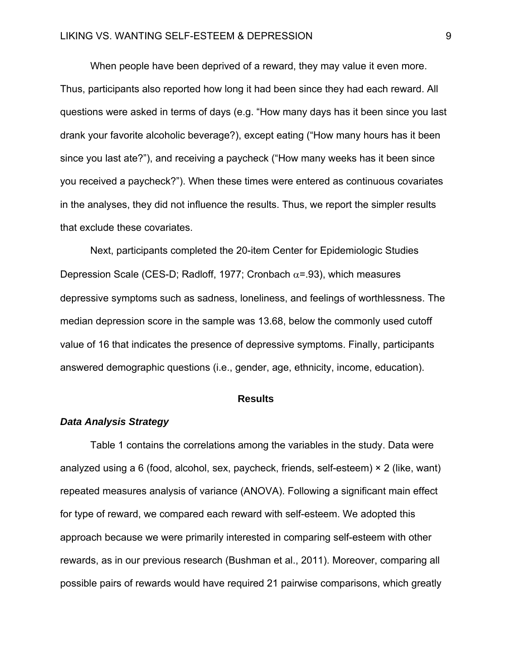When people have been deprived of a reward, they may value it even more. Thus, participants also reported how long it had been since they had each reward. All questions were asked in terms of days (e.g. "How many days has it been since you last drank your favorite alcoholic beverage?), except eating ("How many hours has it been since you last ate?"), and receiving a paycheck ("How many weeks has it been since you received a paycheck?"). When these times were entered as continuous covariates in the analyses, they did not influence the results. Thus, we report the simpler results that exclude these covariates.

Next, participants completed the 20-item Center for Epidemiologic Studies Depression Scale (CES-D; Radloff, 1977; Cronbach  $\alpha$ =.93), which measures depressive symptoms such as sadness, loneliness, and feelings of worthlessness. The median depression score in the sample was 13.68, below the commonly used cutoff value of 16 that indicates the presence of depressive symptoms. Finally, participants answered demographic questions (i.e., gender, age, ethnicity, income, education).

#### **Results**

#### *Data Analysis Strategy*

 Table 1 contains the correlations among the variables in the study. Data were analyzed using a 6 (food, alcohol, sex, paycheck, friends, self-esteem) × 2 (like, want) repeated measures analysis of variance (ANOVA). Following a significant main effect for type of reward, we compared each reward with self-esteem. We adopted this approach because we were primarily interested in comparing self-esteem with other rewards, as in our previous research (Bushman et al., 2011). Moreover, comparing all possible pairs of rewards would have required 21 pairwise comparisons, which greatly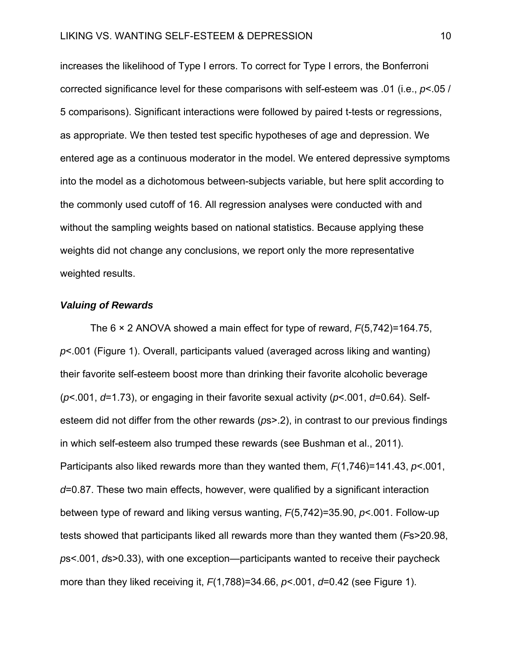increases the likelihood of Type I errors. To correct for Type I errors, the Bonferroni corrected significance level for these comparisons with self-esteem was .01 (i.e., *p*<.05 / 5 comparisons). Significant interactions were followed by paired t-tests or regressions, as appropriate. We then tested test specific hypotheses of age and depression. We entered age as a continuous moderator in the model. We entered depressive symptoms into the model as a dichotomous between-subjects variable, but here split according to the commonly used cutoff of 16. All regression analyses were conducted with and without the sampling weights based on national statistics. Because applying these weights did not change any conclusions, we report only the more representative weighted results.

## *Valuing of Rewards*

 The 6 × 2 ANOVA showed a main effect for type of reward, *F*(5,742)=164.75, *p*<.001 (Figure 1). Overall, participants valued (averaged across liking and wanting) their favorite self-esteem boost more than drinking their favorite alcoholic beverage (*p*<.001, *d*=1.73), or engaging in their favorite sexual activity (*p*<.001, *d*=0.64). Selfesteem did not differ from the other rewards (*p*s>.2), in contrast to our previous findings in which self-esteem also trumped these rewards (see Bushman et al., 2011). Participants also liked rewards more than they wanted them, *F*(1,746)=141.43, *p*<.001, *d*=0.87. These two main effects, however, were qualified by a significant interaction between type of reward and liking versus wanting, *F*(5,742)=35.90, *p*<.001. Follow-up tests showed that participants liked all rewards more than they wanted them (*F*s>20.98, *p*s<.001, *d*s>0.33), with one exception—participants wanted to receive their paycheck more than they liked receiving it, *F*(1,788)=34.66, *p*<.001, *d*=0.42 (see Figure 1).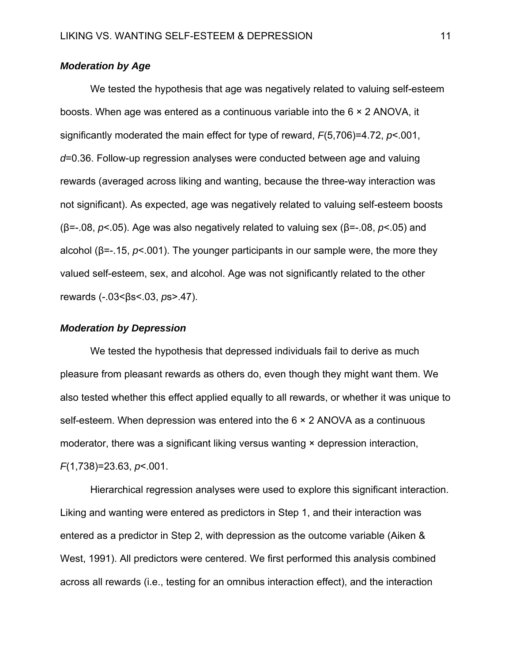## *Moderation by Age*

 We tested the hypothesis that age was negatively related to valuing self-esteem boosts. When age was entered as a continuous variable into the 6 × 2 ANOVA, it significantly moderated the main effect for type of reward, *F*(5,706)=4.72, *p*<.001, *d*=0.36. Follow-up regression analyses were conducted between age and valuing rewards (averaged across liking and wanting, because the three-way interaction was not significant). As expected, age was negatively related to valuing self-esteem boosts (β=-.08, *p*<.05). Age was also negatively related to valuing sex (β=-.08, *p*<.05) and alcohol (β=-.15, *p*<.001). The younger participants in our sample were, the more they valued self-esteem, sex, and alcohol. Age was not significantly related to the other rewards (-.03<βs<.03, *p*s>.47).

## *Moderation by Depression*

We tested the hypothesis that depressed individuals fail to derive as much pleasure from pleasant rewards as others do, even though they might want them. We also tested whether this effect applied equally to all rewards, or whether it was unique to self-esteem. When depression was entered into the 6 × 2 ANOVA as a continuous moderator, there was a significant liking versus wanting × depression interaction, *F*(1,738)=23.63, *p*<.001.

Hierarchical regression analyses were used to explore this significant interaction. Liking and wanting were entered as predictors in Step 1, and their interaction was entered as a predictor in Step 2, with depression as the outcome variable (Aiken & West, 1991). All predictors were centered. We first performed this analysis combined across all rewards (i.e., testing for an omnibus interaction effect), and the interaction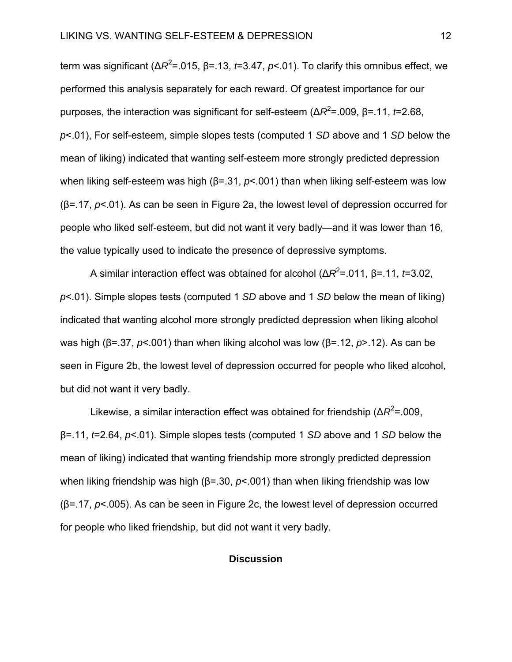term was significant (Δ*R*<sup>2</sup>=.015, β=.13, *t*=3.47, *p*<.01). To clarify this omnibus effect, we performed this analysis separately for each reward. Of greatest importance for our purposes, the interaction was significant for self-esteem (ΔR<sup>2</sup>=.009, β=.11, *t*=2.68, *p*<.01), For self-esteem, simple slopes tests (computed 1 *SD* above and 1 *SD* below the mean of liking) indicated that wanting self-esteem more strongly predicted depression when liking self-esteem was high (β=.31, *p*<.001) than when liking self-esteem was low (β=.17, *p*<.01). As can be seen in Figure 2a, the lowest level of depression occurred for people who liked self-esteem, but did not want it very badly—and it was lower than 16, the value typically used to indicate the presence of depressive symptoms.

A similar interaction effect was obtained for alcohol (Δ*R*<sup>2</sup> =.011, β=.11, *t*=3.02, *p*<.01). Simple slopes tests (computed 1 *SD* above and 1 *SD* below the mean of liking) indicated that wanting alcohol more strongly predicted depression when liking alcohol was high (β=.37, *p*<.001) than when liking alcohol was low (β=.12, *p*>.12). As can be seen in Figure 2b, the lowest level of depression occurred for people who liked alcohol, but did not want it very badly.

Likewise, a similar interaction effect was obtained for friendship (ΔR<sup>2</sup>=.009, β=.11, *t*=2.64, *p*<.01). Simple slopes tests (computed 1 *SD* above and 1 *SD* below the mean of liking) indicated that wanting friendship more strongly predicted depression when liking friendship was high (β=.30, *p*<.001) than when liking friendship was low (β=.17, *p*<.005). As can be seen in Figure 2c, the lowest level of depression occurred for people who liked friendship, but did not want it very badly.

## **Discussion**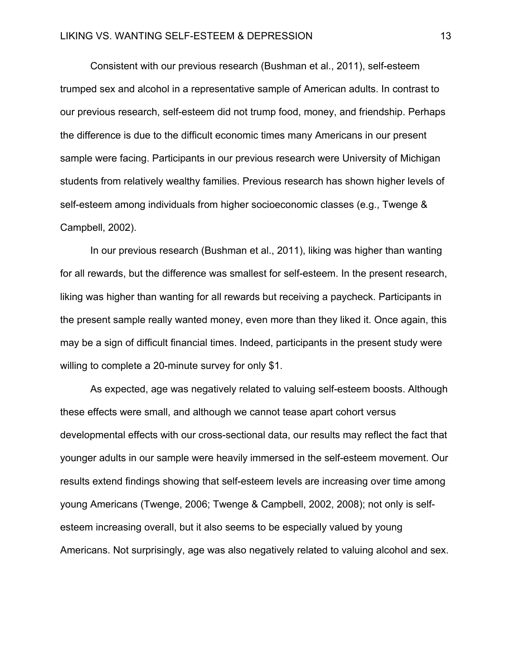Consistent with our previous research (Bushman et al., 2011), self-esteem trumped sex and alcohol in a representative sample of American adults. In contrast to our previous research, self-esteem did not trump food, money, and friendship. Perhaps the difference is due to the difficult economic times many Americans in our present sample were facing. Participants in our previous research were University of Michigan students from relatively wealthy families. Previous research has shown higher levels of self-esteem among individuals from higher socioeconomic classes (e.g., Twenge & Campbell, 2002).

In our previous research (Bushman et al., 2011), liking was higher than wanting for all rewards, but the difference was smallest for self-esteem. In the present research, liking was higher than wanting for all rewards but receiving a paycheck. Participants in the present sample really wanted money, even more than they liked it. Once again, this may be a sign of difficult financial times. Indeed, participants in the present study were willing to complete a 20-minute survey for only \$1.

As expected, age was negatively related to valuing self-esteem boosts. Although these effects were small, and although we cannot tease apart cohort versus developmental effects with our cross-sectional data, our results may reflect the fact that younger adults in our sample were heavily immersed in the self-esteem movement. Our results extend findings showing that self-esteem levels are increasing over time among young Americans (Twenge, 2006; Twenge & Campbell, 2002, 2008); not only is selfesteem increasing overall, but it also seems to be especially valued by young Americans. Not surprisingly, age was also negatively related to valuing alcohol and sex.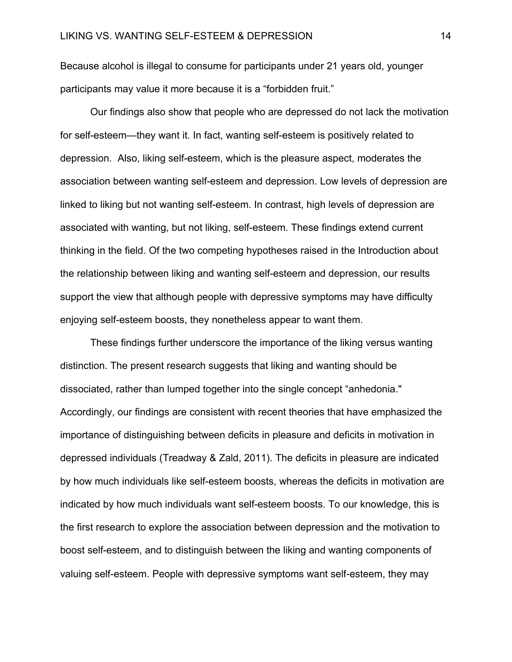Because alcohol is illegal to consume for participants under 21 years old, younger participants may value it more because it is a "forbidden fruit."

Our findings also show that people who are depressed do not lack the motivation for self-esteem—they want it. In fact, wanting self-esteem is positively related to depression. Also, liking self-esteem, which is the pleasure aspect, moderates the association between wanting self-esteem and depression. Low levels of depression are linked to liking but not wanting self-esteem. In contrast, high levels of depression are associated with wanting, but not liking, self-esteem. These findings extend current thinking in the field. Of the two competing hypotheses raised in the Introduction about the relationship between liking and wanting self-esteem and depression, our results support the view that although people with depressive symptoms may have difficulty enjoying self-esteem boosts, they nonetheless appear to want them.

These findings further underscore the importance of the liking versus wanting distinction. The present research suggests that liking and wanting should be dissociated, rather than lumped together into the single concept "anhedonia." Accordingly, our findings are consistent with recent theories that have emphasized the importance of distinguishing between deficits in pleasure and deficits in motivation in depressed individuals (Treadway & Zald, 2011). The deficits in pleasure are indicated by how much individuals like self-esteem boosts, whereas the deficits in motivation are indicated by how much individuals want self-esteem boosts. To our knowledge, this is the first research to explore the association between depression and the motivation to boost self-esteem, and to distinguish between the liking and wanting components of valuing self-esteem. People with depressive symptoms want self-esteem, they may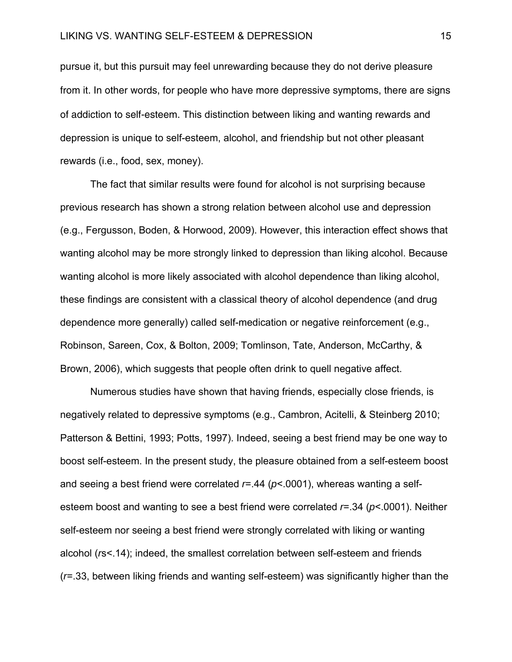pursue it, but this pursuit may feel unrewarding because they do not derive pleasure from it. In other words, for people who have more depressive symptoms, there are signs of addiction to self-esteem. This distinction between liking and wanting rewards and depression is unique to self-esteem, alcohol, and friendship but not other pleasant rewards (i.e., food, sex, money).

The fact that similar results were found for alcohol is not surprising because previous research has shown a strong relation between alcohol use and depression (e.g., Fergusson, Boden, & Horwood, 2009). However, this interaction effect shows that wanting alcohol may be more strongly linked to depression than liking alcohol. Because wanting alcohol is more likely associated with alcohol dependence than liking alcohol, these findings are consistent with a classical theory of alcohol dependence (and drug dependence more generally) called self-medication or negative reinforcement (e.g., Robinson, Sareen, Cox, & Bolton, 2009; Tomlinson, Tate, Anderson, McCarthy, & Brown, 2006), which suggests that people often drink to quell negative affect.

Numerous studies have shown that having friends, especially close friends, is negatively related to depressive symptoms (e.g., Cambron, Acitelli, & Steinberg 2010; Patterson & Bettini, 1993; Potts, 1997). Indeed, seeing a best friend may be one way to boost self-esteem. In the present study, the pleasure obtained from a self-esteem boost and seeing a best friend were correlated *r*=.44 (*p*<.0001), whereas wanting a selfesteem boost and wanting to see a best friend were correlated *r*=.34 (*p*<.0001). Neither self-esteem nor seeing a best friend were strongly correlated with liking or wanting alcohol (*r*s<.14); indeed, the smallest correlation between self-esteem and friends (*r*=.33, between liking friends and wanting self-esteem) was significantly higher than the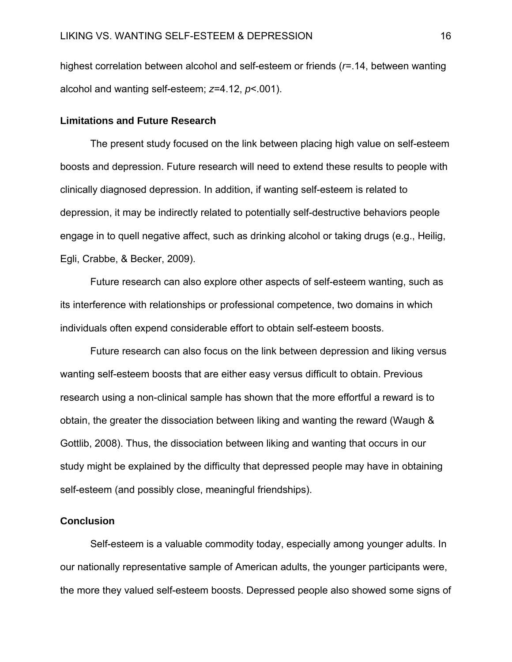highest correlation between alcohol and self-esteem or friends (*r*=.14, between wanting alcohol and wanting self-esteem; *z*=4.12, *p*<.001).

#### **Limitations and Future Research**

The present study focused on the link between placing high value on self-esteem boosts and depression. Future research will need to extend these results to people with clinically diagnosed depression. In addition, if wanting self-esteem is related to depression, it may be indirectly related to potentially self-destructive behaviors people engage in to quell negative affect, such as drinking alcohol or taking drugs (e.g., Heilig, Egli, Crabbe, & Becker, 2009).

Future research can also explore other aspects of self-esteem wanting, such as its interference with relationships or professional competence, two domains in which individuals often expend considerable effort to obtain self-esteem boosts.

Future research can also focus on the link between depression and liking versus wanting self-esteem boosts that are either easy versus difficult to obtain. Previous research using a non-clinical sample has shown that the more effortful a reward is to obtain, the greater the dissociation between liking and wanting the reward (Waugh & Gottlib, 2008). Thus, the dissociation between liking and wanting that occurs in our study might be explained by the difficulty that depressed people may have in obtaining self-esteem (and possibly close, meaningful friendships).

## **Conclusion**

Self-esteem is a valuable commodity today, especially among younger adults. In our nationally representative sample of American adults, the younger participants were, the more they valued self-esteem boosts. Depressed people also showed some signs of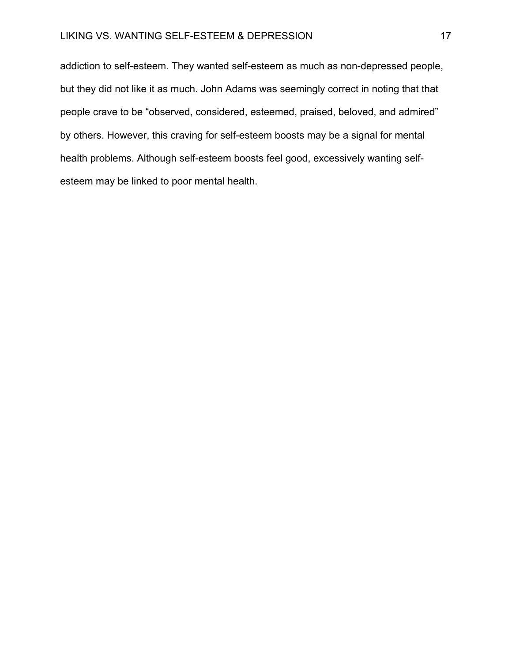## LIKING VS. WANTING SELF-ESTEEM & DEPRESSION 17

addiction to self-esteem. They wanted self-esteem as much as non-depressed people, but they did not like it as much. John Adams was seemingly correct in noting that that people crave to be "observed, considered, esteemed, praised, beloved, and admired" by others. However, this craving for self-esteem boosts may be a signal for mental health problems. Although self-esteem boosts feel good, excessively wanting selfesteem may be linked to poor mental health.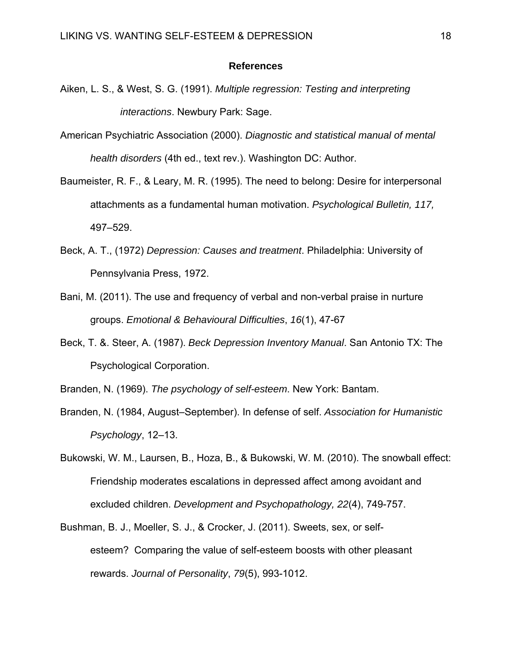#### **References**

- Aiken, L. S., & West, S. G. (1991). *Multiple regression: Testing and interpreting interactions*. Newbury Park: Sage.
- American Psychiatric Association (2000). *Diagnostic and statistical manual of mental health disorders* (4th ed., text rev.). Washington DC: Author.
- Baumeister, R. F., & Leary, M. R. (1995). The need to belong: Desire for interpersonal attachments as a fundamental human motivation. *Psychological Bulletin, 117,*  497–529.
- Beck, A. T., (1972) *Depression: Causes and treatment*. Philadelphia: University of Pennsylvania Press, 1972.
- Bani, M. (2011). The use and frequency of verbal and non-verbal praise in nurture groups. *Emotional & Behavioural Difficulties*, *16*(1), 47-67
- Beck, T. &. Steer, A. (1987). *Beck Depression Inventory Manual*. San Antonio TX: The Psychological Corporation.
- Branden, N. (1969). *The psychology of self-esteem*. New York: Bantam.
- Branden, N. (1984, August–September). In defense of self. *Association for Humanistic Psychology*, 12–13.
- Bukowski, W. M., Laursen, B., Hoza, B., & Bukowski, W. M. (2010). The snowball effect: Friendship moderates escalations in depressed affect among avoidant and excluded children. *Development and Psychopathology, 22*(4), 749-757.
- Bushman, B. J., Moeller, S. J., & Crocker, J. (2011). Sweets, sex, or selfesteem? Comparing the value of self-esteem boosts with other pleasant rewards. *Journal of Personality*, *79*(5), 993-1012.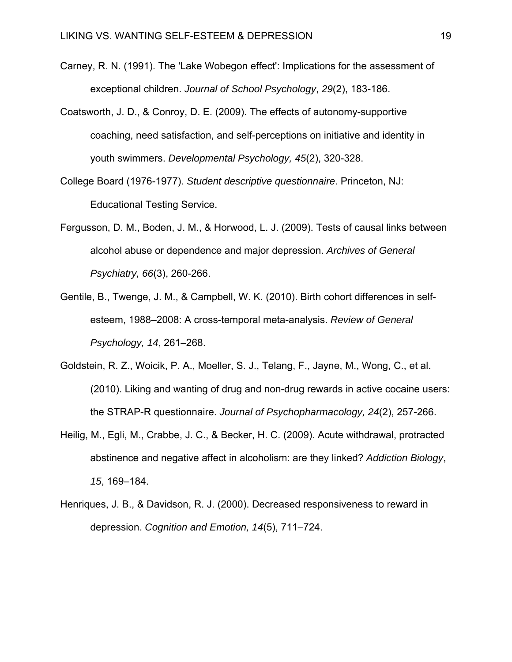- Carney, R. N. (1991). The 'Lake Wobegon effect': Implications for the assessment of exceptional children. *Journal of School Psychology*, *29*(2), 183-186.
- Coatsworth, J. D., & Conroy, D. E. (2009). The effects of autonomy-supportive coaching, need satisfaction, and self-perceptions on initiative and identity in youth swimmers. *Developmental Psychology, 45*(2), 320-328.
- College Board (1976-1977). *Student descriptive questionnaire*. Princeton, NJ: Educational Testing Service.
- Fergusson, D. M., Boden, J. M., & Horwood, L. J. (2009). Tests of causal links between alcohol abuse or dependence and major depression. *Archives of General Psychiatry, 66*(3), 260-266.
- Gentile, B., Twenge, J. M., & Campbell, W. K. (2010). Birth cohort differences in selfesteem, 1988–2008: A cross-temporal meta-analysis. *Review of General Psychology, 14*, 261–268.
- Goldstein, R. Z., Woicik, P. A., Moeller, S. J., Telang, F., Jayne, M., Wong, C., et al. (2010). Liking and wanting of drug and non-drug rewards in active cocaine users: the STRAP-R questionnaire. *Journal of Psychopharmacology, 24*(2), 257-266.
- Heilig, M., Egli, M., Crabbe, J. C., & Becker, H. C. (2009). Acute withdrawal, protracted abstinence and negative affect in alcoholism: are they linked? *Addiction Biology*, *15*, 169–184.
- Henriques, J. B., & Davidson, R. J. (2000). Decreased responsiveness to reward in depression. *Cognition and Emotion, 14*(5), 711–724.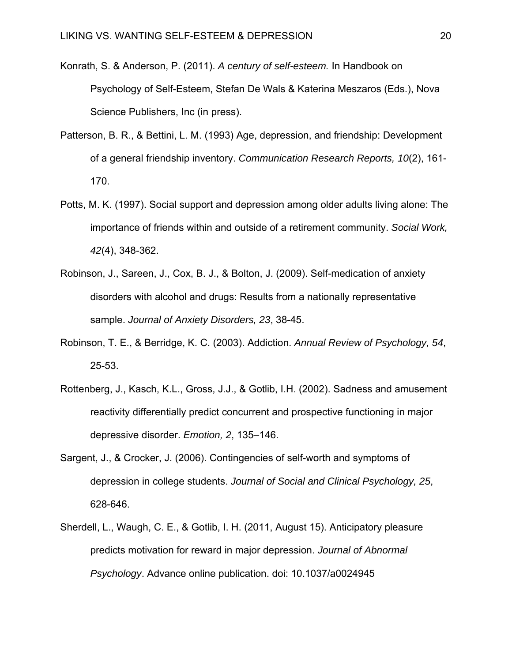- Konrath, S. & Anderson, P. (2011). *A century of self-esteem.* In Handbook on Psychology of Self-Esteem, Stefan De Wals & Katerina Meszaros (Eds.), Nova Science Publishers, Inc (in press).
- Patterson, B. R., & Bettini, L. M. (1993) Age, depression, and friendship: Development of a general friendship inventory. *Communication Research Reports, 10*(2), 161- 170.
- Potts, M. K. (1997). Social support and depression among older adults living alone: The importance of friends within and outside of a retirement community. *Social Work, 42*(4), 348-362.
- Robinson, J., Sareen, J., Cox, B. J., & Bolton, J. (2009). Self-medication of anxiety disorders with alcohol and drugs: Results from a nationally representative sample. *Journal of Anxiety Disorders, 23*, 38-45.
- Robinson, T. E., & Berridge, K. C. (2003). Addiction. *Annual Review of Psychology, 54*, 25-53.
- Rottenberg, J., Kasch, K.L., Gross, J.J., & Gotlib, I.H. (2002). Sadness and amusement reactivity differentially predict concurrent and prospective functioning in major depressive disorder. *Emotion, 2*, 135–146.
- Sargent, J., & Crocker, J. (2006). Contingencies of self-worth and symptoms of depression in college students. *Journal of Social and Clinical Psychology, 25*, 628-646.
- Sherdell, L., Waugh, C. E., & Gotlib, I. H. (2011, August 15). Anticipatory pleasure predicts motivation for reward in major depression. *Journal of Abnormal Psychology*. Advance online publication. doi: 10.1037/a0024945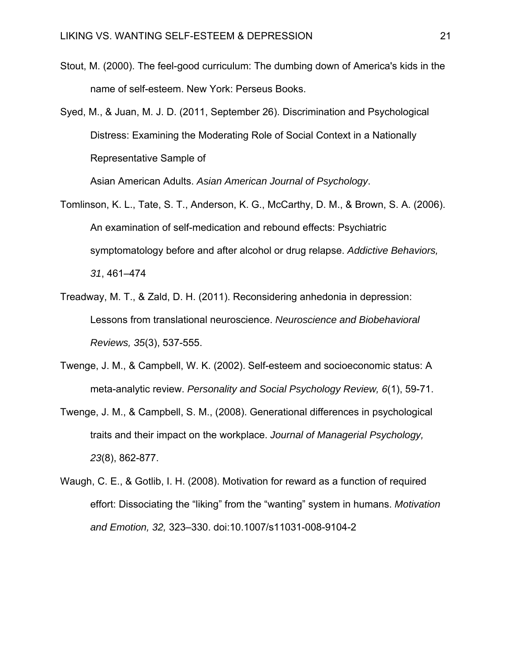- Stout, M. (2000). The feel-good curriculum: The dumbing down of America's kids in the name of self-esteem. New York: Perseus Books.
- Syed, M., & Juan, M. J. D. (2011, September 26). Discrimination and Psychological Distress: Examining the Moderating Role of Social Context in a Nationally Representative Sample of

Asian American Adults. *Asian American Journal of Psychology*.

- Tomlinson, K. L., Tate, S. T., Anderson, K. G., McCarthy, D. M., & Brown, S. A. (2006). An examination of self-medication and rebound effects: Psychiatric symptomatology before and after alcohol or drug relapse. *Addictive Behaviors, 31*, 461–474
- Treadway, M. T., & Zald, D. H. (2011). Reconsidering anhedonia in depression: Lessons from translational neuroscience. *Neuroscience and Biobehavioral Reviews, 35*(3), 537-555.
- Twenge, J. M., & Campbell, W. K. (2002). Self-esteem and socioeconomic status: A meta-analytic review. *Personality and Social Psychology Review, 6*(1), 59-71.
- Twenge, J. M., & Campbell, S. M., (2008). Generational differences in psychological traits and their impact on the workplace. *Journal of Managerial Psychology, 23*(8), 862-877.
- Waugh, C. E., & Gotlib, I. H. (2008). Motivation for reward as a function of required effort: Dissociating the "liking" from the "wanting" system in humans. *Motivation and Emotion, 32,* 323–330. doi:10.1007/s11031-008-9104-2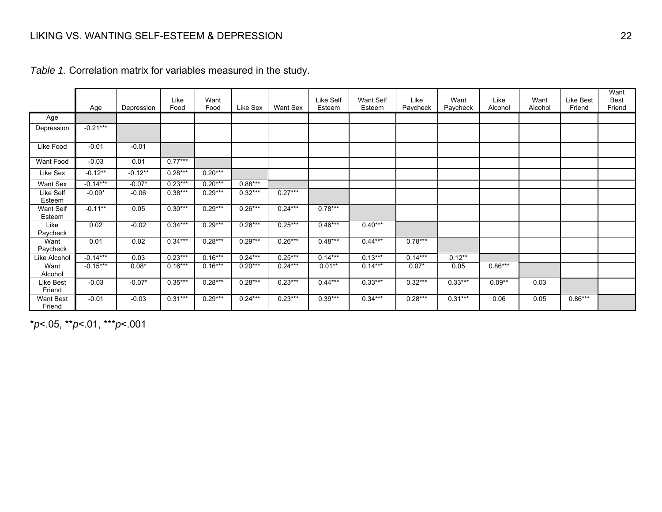|                            | Age        | Depression | Like<br>Food | Want<br>Food | Like Sex  | Want Sex  | Like Self<br>Esteem | Want Self<br>Esteem | Like<br>Paycheck | Want<br>Paycheck | Like<br>Alcohol | Want<br>Alcohol | Like Best<br>Friend | Want<br><b>Best</b><br>Friend |
|----------------------------|------------|------------|--------------|--------------|-----------|-----------|---------------------|---------------------|------------------|------------------|-----------------|-----------------|---------------------|-------------------------------|
| Age                        |            |            |              |              |           |           |                     |                     |                  |                  |                 |                 |                     |                               |
| Depression                 | $-0.21***$ |            |              |              |           |           |                     |                     |                  |                  |                 |                 |                     |                               |
| Like Food                  | $-0.01$    | $-0.01$    |              |              |           |           |                     |                     |                  |                  |                 |                 |                     |                               |
| Want Food                  | $-0.03$    | 0.01       | $0.77***$    |              |           |           |                     |                     |                  |                  |                 |                 |                     |                               |
| Like Sex                   | $-0.12**$  | $-0.12**$  | $0.28***$    | $0.20***$    |           |           |                     |                     |                  |                  |                 |                 |                     |                               |
| Want Sex                   | $-0.14***$ | $-0.07*$   | $0.23***$    | $0.20***$    | $0.88***$ |           |                     |                     |                  |                  |                 |                 |                     |                               |
| Like Self<br>Esteem        | $-0.09*$   | $-0.06$    | $0.38***$    | $0.29***$    | $0.32***$ | $0.27***$ |                     |                     |                  |                  |                 |                 |                     |                               |
| Want Self<br>Esteem        | $-0.11***$ | 0.05       | $0.30***$    | $0.29***$    | $0.26***$ | $0.24***$ | $0.78***$           |                     |                  |                  |                 |                 |                     |                               |
| Like<br>Paycheck           | 0.02       | $-0.02$    | $0.34***$    | $0.29***$    | $0.26***$ | $0.25***$ | $0.46***$           | $0.40***$           |                  |                  |                 |                 |                     |                               |
| Want<br>Paycheck           | 0.01       | 0.02       | $0.34***$    | $0.28***$    | $0.29***$ | $0.26***$ | $0.48***$           | $0.44***$           | $0.78***$        |                  |                 |                 |                     |                               |
| Like Alcohol               | $-0.14***$ | 0.03       | $0.23***$    | $0.16***$    | $0.24***$ | $0.25***$ | $0.14***$           | $0.13***$           | $0.14***$        | $0.12**$         |                 |                 |                     |                               |
| Want<br>Alcohol            | $-0.15***$ | $0.08*$    | $0.16***$    | $0.16***$    | $0.20***$ | $0.24***$ | $0.01***$           | $0.14***$           | $0.07*$          | 0.05             | $0.86***$       |                 |                     |                               |
| <b>Like Best</b><br>Friend | $-0.03$    | $-0.07*$   | $0.35***$    | $0.28***$    | $0.28***$ | $0.23***$ | $0.44***$           | $0.33***$           | $0.32***$        | $0.33***$        | $0.09**$        | 0.03            |                     |                               |
| <b>Want Best</b><br>Friend | $-0.01$    | $-0.03$    | $0.31***$    | $0.29***$    | $0.24***$ | $0.23***$ | $0.39***$           | $0.34***$           | $0.28***$        | $0.31***$        | 0.06            | 0.05            | $0.86***$           |                               |

*Table 1*. Correlation matrix for variables measured in the study.

\**p*<.05, \*\* *p*<.01, \*\*\* *p*<.001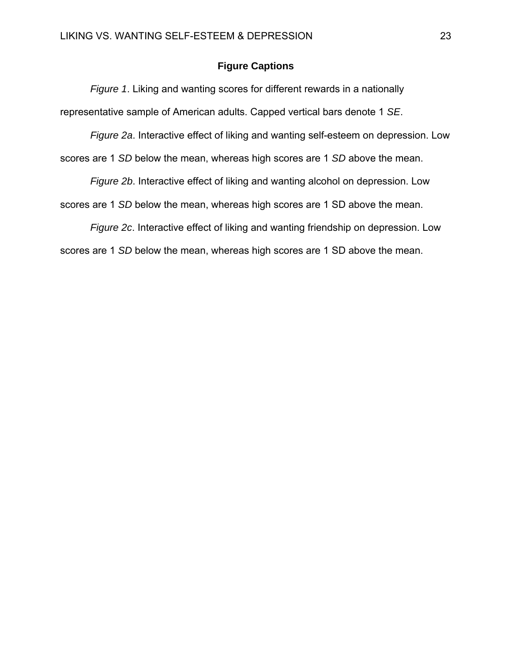## **Figure Captions**

 *Figure 1*. Liking and wanting scores for different rewards in a nationally representative sample of American adults. Capped vertical bars denote 1 *SE*.

 *Figure 2a*. Interactive effect of liking and wanting self-esteem on depression. Low scores are 1 *SD* below the mean, whereas high scores are 1 *SD* above the mean.

 *Figure 2b*. Interactive effect of liking and wanting alcohol on depression. Low scores are 1 *SD* below the mean, whereas high scores are 1 SD above the mean.

 *Figure 2c*. Interactive effect of liking and wanting friendship on depression. Low scores are 1 *SD* below the mean, whereas high scores are 1 SD above the mean.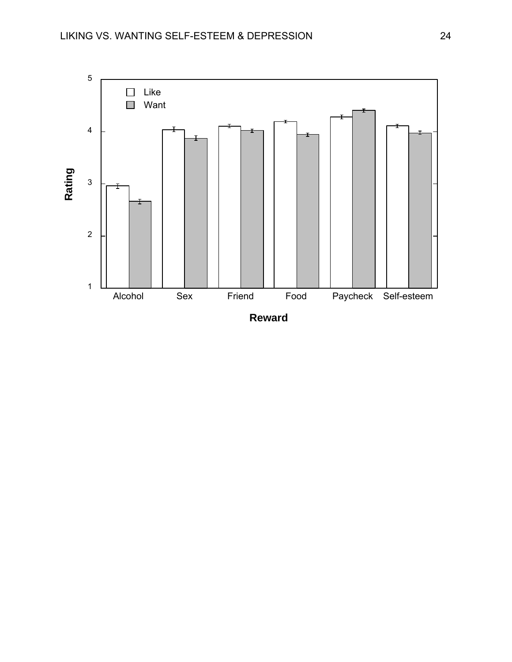

**Reward**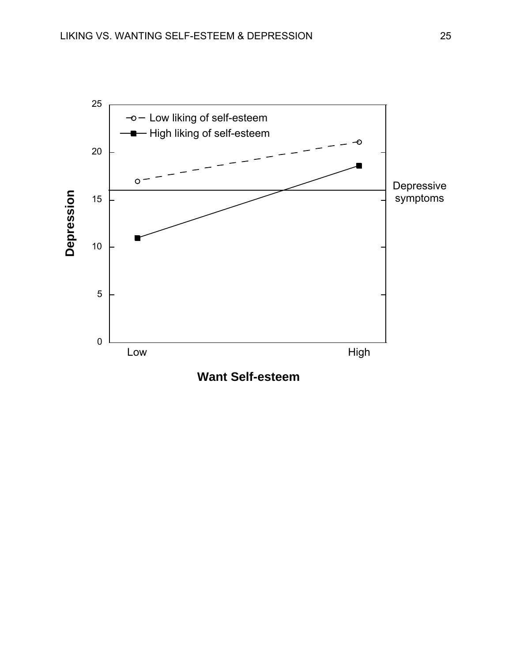

**Want Self-esteem**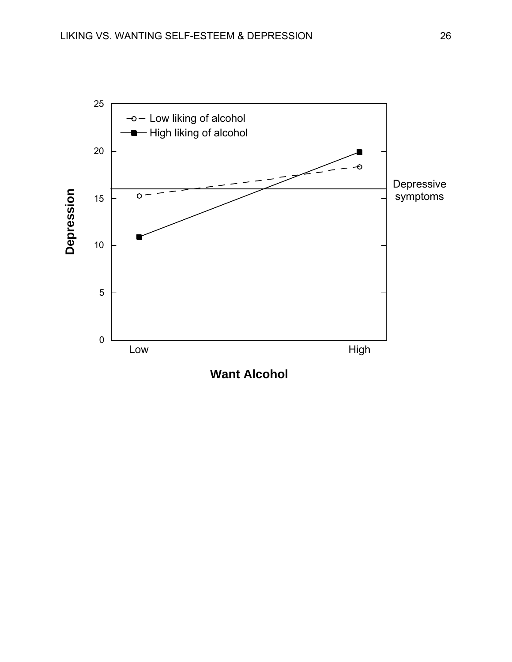

**Want Alcohol**